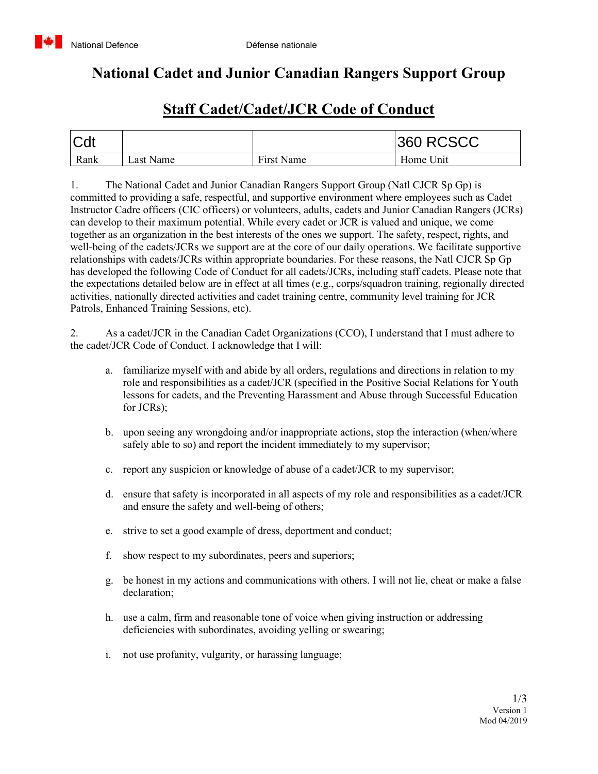

## **National Cadet and Junior Canadian Rangers Support Group**

## **Staff Cadet/Cadet/JCR Code of Conduct**

| <b>Cdt</b> |           |            | <b>360 RCSCC</b> |
|------------|-----------|------------|------------------|
| Rank       | ∟ast Name | First Name | Home Unit        |

1. The National Cadet and Junior Canadian Rangers Support Group (Natl CJCR Sp Gp) is committed to providing a safe, respectful, and supportive environment where employees such as Cadet Instructor Cadre officers (CIC officers) or volunteers, adults, cadets and Junior Canadian Rangers (JCRs) can develop to their maximum potential. While every cadet or JCR is valued and unique, we come together as an organization in the best interests of the ones we support. The safety, respect, rights, and well-being of the cadets/JCRs we support are at the core of our daily operations. We facilitate supportive relationships with cadets/JCRs within appropriate boundaries. For these reasons, the Natl CJCR Sp Gp has developed the following Code of Conduct for all cadets/JCRs, including staff cadets. Please note that the expectations detailed below are in effect at all times (e.g., corps/squadron training, regionally directed activities, nationally directed activities and cadet training centre, community level training for JCR Patrols, Enhanced Training Sessions, etc).

2. As a cadet/JCR in the Canadian Cadet Organizations (CCO), I understand that I must adhere to the cadet/JCR Code of Conduct. I acknowledge that I will:

- a. familiarize myself with and abide by all orders, regulations and directions in relation to my role and responsibilities as a cadet/JCR (specified in the Positive Social Relations for Youth lessons for cadets, and the Preventing Harassment and Abuse through Successful Education for JCRs);
- b. upon seeing any wrongdoing and/or inappropriate actions, stop the interaction (when/where safely able to so) and report the incident immediately to my supervisor;
- c. report any suspicion or knowledge of abuse of a cadet/JCR to my supervisor;
- d. ensure that safety is incorporated in all aspects of my role and responsibilities as a cadet/JCR and ensure the safety and well-being of others;
- e. strive to set a good example of dress, deportment and conduct;
- f. show respect to my subordinates, peers and superiors;
- g. be honest in my actions and communications with others. I will not lie, cheat or make a false declaration;
- h. use a calm, firm and reasonable tone of voice when giving instruction or addressing deficiencies with subordinates, avoiding yelling or swearing;
- i. not use profanity, vulgarity, or harassing language;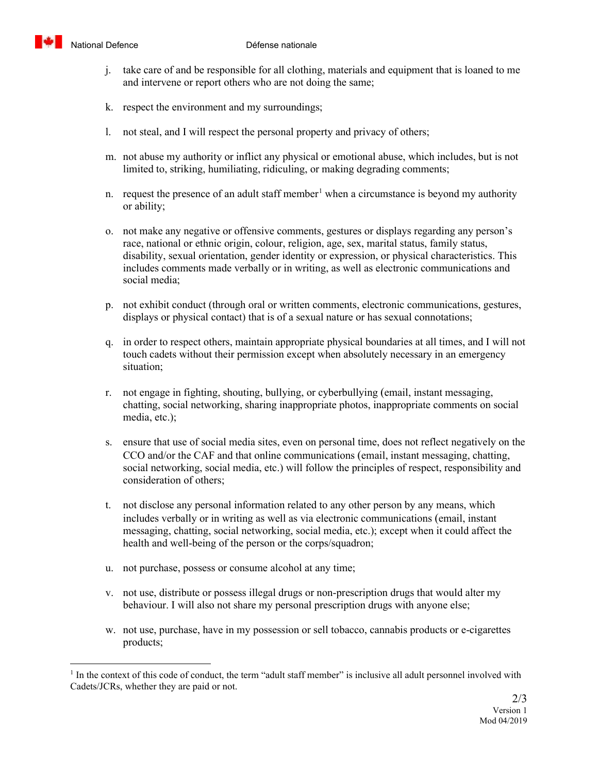

- j. take care of and be responsible for all clothing, materials and equipment that is loaned to me and intervene or report others who are not doing the same;
- k. respect the environment and my surroundings;
- l. not steal, and I will respect the personal property and privacy of others;
- m. not abuse my authority or inflict any physical or emotional abuse, which includes, but is not limited to, striking, humiliating, ridiculing, or making degrading comments;
- n. request the presence of an adult staff member<sup>[1](#page-1-0)</sup> when a circumstance is beyond my authority or ability;
- o. not make any negative or offensive comments, gestures or displays regarding any person's race, national or ethnic origin, colour, religion, age, sex, marital status, family status, disability, sexual orientation, gender identity or expression, or physical characteristics. This includes comments made verbally or in writing, as well as electronic communications and social media;
- p. not exhibit conduct (through oral or written comments, electronic communications, gestures, displays or physical contact) that is of a sexual nature or has sexual connotations;
- q. in order to respect others, maintain appropriate physical boundaries at all times, and I will not touch cadets without their permission except when absolutely necessary in an emergency situation;
- r. not engage in fighting, shouting, bullying, or cyberbullying (email, instant messaging, chatting, social networking, sharing inappropriate photos, inappropriate comments on social media, etc.);
- s. ensure that use of social media sites, even on personal time, does not reflect negatively on the CCO and/or the CAF and that online communications (email, instant messaging, chatting, social networking, social media, etc.) will follow the principles of respect, responsibility and consideration of others;
- t. not disclose any personal information related to any other person by any means, which includes verbally or in writing as well as via electronic communications (email, instant messaging, chatting, social networking, social media, etc.); except when it could affect the health and well-being of the person or the corps/squadron;
- u. not purchase, possess or consume alcohol at any time;
- v. not use, distribute or possess illegal drugs or non-prescription drugs that would alter my behaviour. I will also not share my personal prescription drugs with anyone else;
- w. not use, purchase, have in my possession or sell tobacco, cannabis products or e-cigarettes products;

<span id="page-1-0"></span> $<sup>1</sup>$  In the context of this code of conduct, the term "adult staff member" is inclusive all adult personnel involved with</sup> Cadets/JCRs, whether they are paid or not.